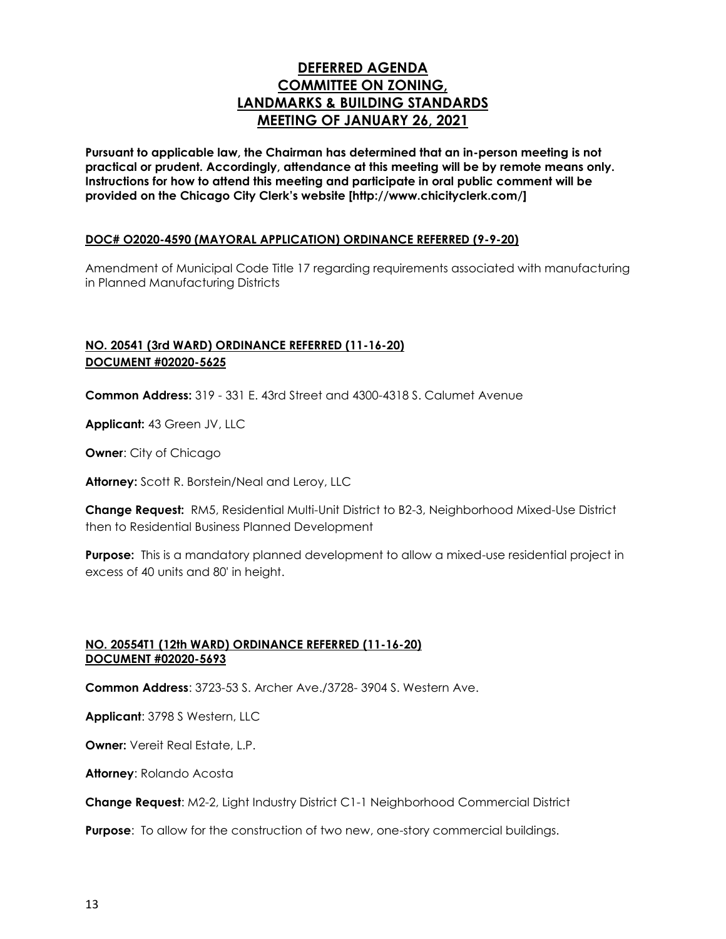# **DEFERRED AGENDA COMMITTEE ON ZONING, LANDMARKS & BUILDING STANDARDS MEETING OF JANUARY 26, 2021**

**Pursuant to applicable law, the Chairman has determined that an in-person meeting is not practical or prudent. Accordingly, attendance at this meeting will be by remote means only. Instructions for how to attend this meeting and participate in oral public comment will be provided on the Chicago City Clerk's website [http://www.chicityclerk.com/]**

## **DOC# O2020-4590 (MAYORAL APPLICATION) ORDINANCE REFERRED (9-9-20)**

Amendment of Municipal Code Title 17 regarding requirements associated with manufacturing in Planned Manufacturing Districts

# **NO. 20541 (3rd WARD) ORDINANCE REFERRED (11-16-20) DOCUMENT #02020-5625**

**Common Address:** 319 - 331 E. 43rd Street and 4300-4318 S. Calumet Avenue

**Applicant:** 43 Green JV, LLC

**Owner**: City of Chicago

**Attorney:** Scott R. Borstein/Neal and Leroy, LLC

**Change Request:** RM5, Residential Multi-Unit District to B2-3, Neighborhood Mixed-Use District then to Residential Business Planned Development

**Purpose:** This is a mandatory planned development to allow a mixed-use residential project in excess of 40 units and 80' in height.

#### **NO. 20554T1 (12th WARD) ORDINANCE REFERRED (11-16-20) DOCUMENT #02020-5693**

**Common Address**: 3723-53 S. Archer Ave./3728- 3904 S. Western Ave.

**Applicant**: 3798 S Western, LLC

**Owner:** Vereit Real Estate, L.P.

**Attorney**: Rolando Acosta

**Change Request**: M2-2, Light Industry District C1-1 Neighborhood Commercial District

**Purpose**: To allow for the construction of two new, one-story commercial buildings.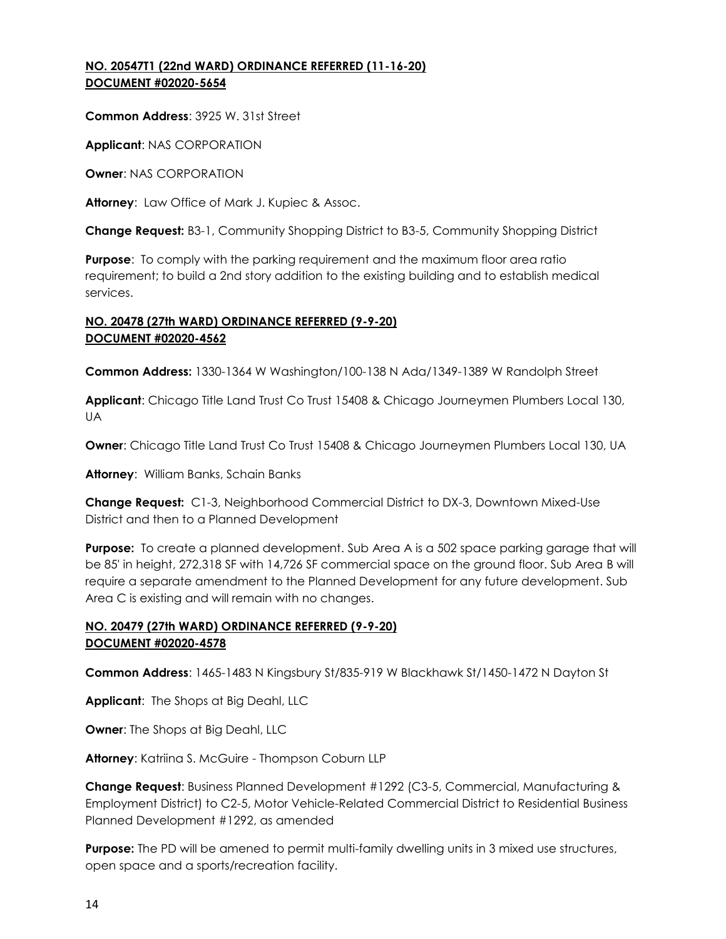## **NO. 20547T1 (22nd WARD) ORDINANCE REFERRED (11-16-20) DOCUMENT #02020-5654**

**Common Address**: 3925 W. 31st Street

**Applicant**: NAS CORPORATION

**Owner**: NAS CORPORATION

**Attorney**: Law Office of Mark J. Kupiec & Assoc.

**Change Request:** B3-1, Community Shopping District to B3-5, Community Shopping District

**Purpose**: To comply with the parking requirement and the maximum floor area ratio requirement; to build a 2nd story addition to the existing building and to establish medical services.

# **NO. 20478 (27th WARD) ORDINANCE REFERRED (9-9-20) DOCUMENT #02020-4562**

**Common Address:** 1330-1364 W Washington/100-138 N Ada/1349-1389 W Randolph Street

**Applicant**: Chicago Title Land Trust Co Trust 15408 & Chicago Journeymen Plumbers Local 130, UA

**Owner**: Chicago Title Land Trust Co Trust 15408 & Chicago Journeymen Plumbers Local 130, UA

**Attorney**: William Banks, Schain Banks

**Change Request:** C1-3, Neighborhood Commercial District to DX-3, Downtown Mixed-Use District and then to a Planned Development

**Purpose:** To create a planned development. Sub Area A is a 502 space parking garage that will be 85' in height, 272,318 SF with 14,726 SF commercial space on the ground floor. Sub Area B will require a separate amendment to the Planned Development for any future development. Sub Area C is existing and will remain with no changes.

# **NO. 20479 (27th WARD) ORDINANCE REFERRED (9-9-20) DOCUMENT #02020-4578**

**Common Address**: 1465-1483 N Kingsbury St/835-919 W Blackhawk St/1450-1472 N Dayton St

**Applicant**: The Shops at Big Deahl, LLC

**Owner**: The Shops at Big Deahl, LLC

**Attorney**: Katriina S. McGuire - Thompson Coburn LLP

**Change Request**: Business Planned Development #1292 (C3-5, Commercial, Manufacturing & Employment District) to C2-5, Motor Vehicle-Related Commercial District to Residential Business Planned Development #1292, as amended

**Purpose:** The PD will be amened to permit multi-family dwelling units in 3 mixed use structures, open space and a sports/recreation facility.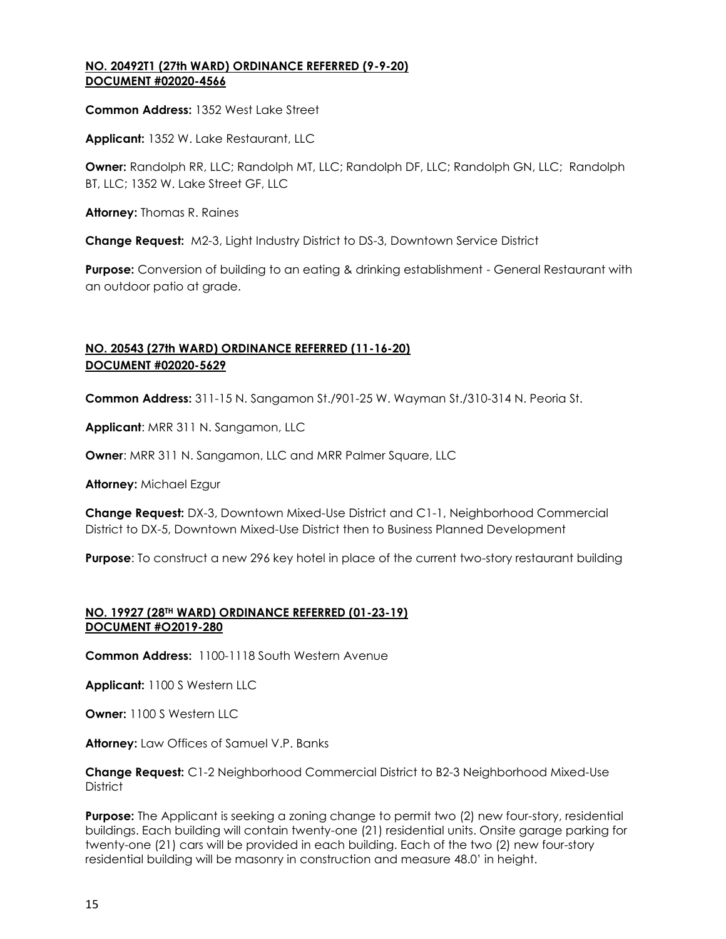#### **NO. 20492T1 (27th WARD) ORDINANCE REFERRED (9-9-20) DOCUMENT #02020-4566**

**Common Address:** 1352 West Lake Street

**Applicant:** 1352 W. Lake Restaurant, LLC

**Owner:** Randolph RR, LLC; Randolph MT, LLC; Randolph DF, LLC; Randolph GN, LLC; Randolph BT, LLC; 1352 W. Lake Street GF, LLC

**Attorney:** Thomas R. Raines

**Change Request:** M2-3, Light Industry District to DS-3, Downtown Service District

**Purpose:** Conversion of building to an eating & drinking establishment - General Restaurant with an outdoor patio at grade.

# **NO. 20543 (27th WARD) ORDINANCE REFERRED (11-16-20) DOCUMENT #02020-5629**

**Common Address:** 311-15 N. Sangamon St./901-25 W. Wayman St./310-314 N. Peoria St.

**Applicant**: MRR 311 N. Sangamon, LLC

**Owner**: MRR 311 N. Sangamon, LLC and MRR Palmer Square, LLC

**Attorney:** Michael Ezgur

**Change Request:** DX-3, Downtown Mixed-Use District and C1-1, Neighborhood Commercial District to DX-5, Downtown Mixed-Use District then to Business Planned Development

**Purpose**: To construct a new 296 key hotel in place of the current two-story restaurant building

#### **NO. 19927 (28TH WARD) ORDINANCE REFERRED (01-23-19) DOCUMENT #O2019-280**

**Common Address:** 1100-1118 South Western Avenue

**Applicant:** 1100 S Western LLC

**Owner:** 1100 S Western LLC

**Attorney:** Law Offices of Samuel V.P. Banks

**Change Request:** C1-2 Neighborhood Commercial District to B2-3 Neighborhood Mixed-Use **District** 

**Purpose:** The Applicant is seeking a zoning change to permit two (2) new four-story, residential buildings. Each building will contain twenty-one (21) residential units. Onsite garage parking for twenty-one (21) cars will be provided in each building. Each of the two (2) new four-story residential building will be masonry in construction and measure 48.0' in height.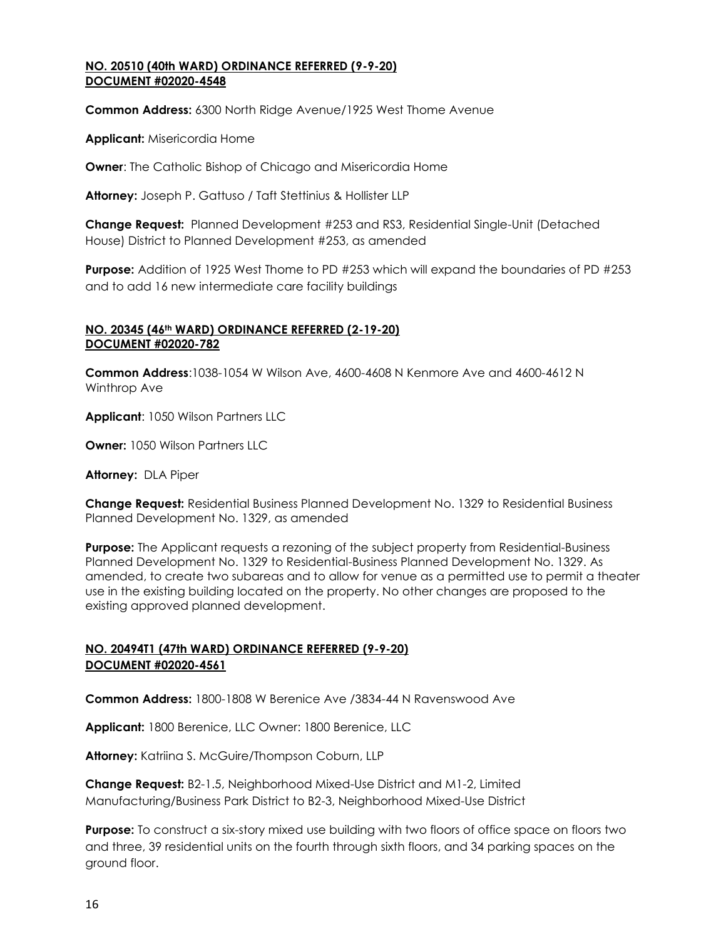#### **NO. 20510 (40th WARD) ORDINANCE REFERRED (9-9-20) DOCUMENT #02020-4548**

**Common Address:** 6300 North Ridge Avenue/1925 West Thome Avenue

**Applicant:** Misericordia Home

**Owner**: The Catholic Bishop of Chicago and Misericordia Home

**Attorney:** Joseph P. Gattuso / Taft Stettinius & Hollister LLP

**Change Request:** Planned Development #253 and RS3, Residential Single-Unit (Detached House) District to Planned Development #253, as amended

**Purpose:** Addition of 1925 West Thome to PD #253 which will expand the boundaries of PD #253 and to add 16 new intermediate care facility buildings

## **NO. 20345 (46th WARD) ORDINANCE REFERRED (2-19-20) DOCUMENT #02020-782**

**Common Address**:1038-1054 W Wilson Ave, 4600-4608 N Kenmore Ave and 4600-4612 N Winthrop Ave

**Applicant**: 1050 Wilson Partners LLC

**Owner:** 1050 Wilson Partners LLC

**Attorney:** DLA Piper

**Change Request:** Residential Business Planned Development No. 1329 to Residential Business Planned Development No. 1329, as amended

**Purpose:** The Applicant requests a rezoning of the subject property from Residential-Business Planned Development No. 1329 to Residential-Business Planned Development No. 1329. As amended, to create two subareas and to allow for venue as a permitted use to permit a theater use in the existing building located on the property. No other changes are proposed to the existing approved planned development.

## **NO. 20494T1 (47th WARD) ORDINANCE REFERRED (9-9-20) DOCUMENT #02020-4561**

**Common Address:** 1800-1808 W Berenice Ave /3834-44 N Ravenswood Ave

**Applicant:** 1800 Berenice, LLC Owner: 1800 Berenice, LLC

**Attorney:** Katriina S. McGuire/Thompson Coburn, LLP

**Change Request:** B2-1.5, Neighborhood Mixed-Use District and M1-2, Limited Manufacturing/Business Park District to B2-3, Neighborhood Mixed-Use District

**Purpose:** To construct a six-story mixed use building with two floors of office space on floors two and three, 39 residential units on the fourth through sixth floors, and 34 parking spaces on the ground floor.